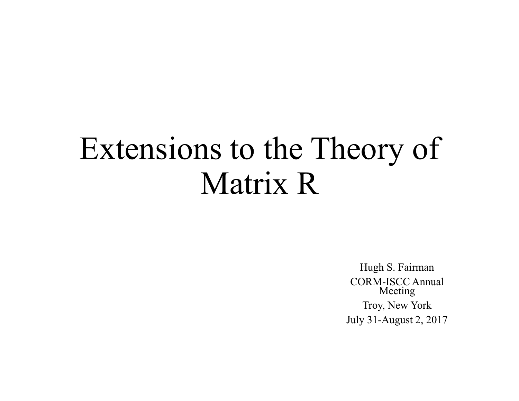# Extensions to the Theory of Matrix R

Hugh S. Fairman CORM-ISCC Annual Meeting Troy, New York July 31-August 2, 2017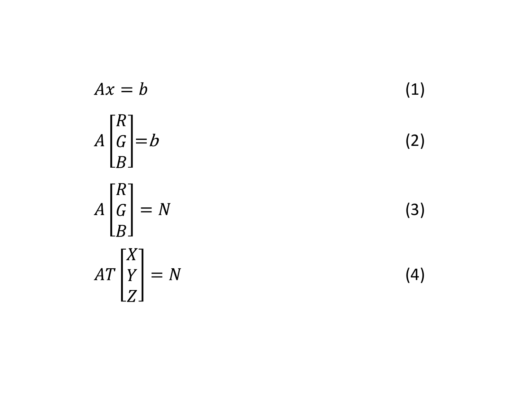$$
Ax = b
$$
\n
$$
A \begin{bmatrix} R \\ G \\ B \end{bmatrix} = b
$$
\n
$$
A \begin{bmatrix} R \\ G \\ B \end{bmatrix} = N
$$
\n
$$
AT \begin{bmatrix} X \\ Y \\ Z \end{bmatrix} = N
$$
\n(3)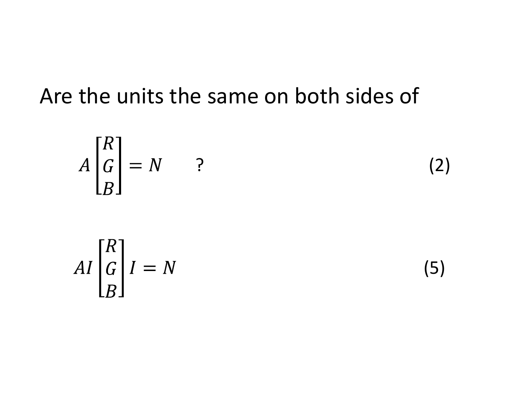### Are the units the same on both sides of

the units the same on both sides of\n
$$
A \begin{bmatrix} R \\ G \\ B \end{bmatrix} = N
$$
?\n(2)

$$
AI \begin{bmatrix} R \\ G \\ B \end{bmatrix} I = N
$$

(5)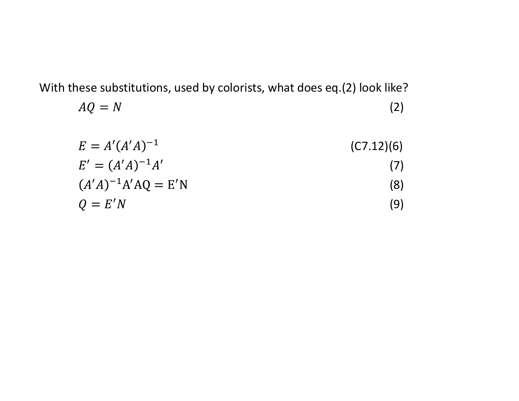With these substitutions, used by colorists, what does eq.(2) look like?

$$
AQ = N \tag{2}
$$

$$
E = A'(A'A)^{-1}
$$
 (C7.12)(6)

$$
E' = (A'A)^{-1}A'
$$
 (7)

$$
(A'A)^{-1}A'AQ = E'N
$$
 (8)

$$
Q = E'N \tag{9}
$$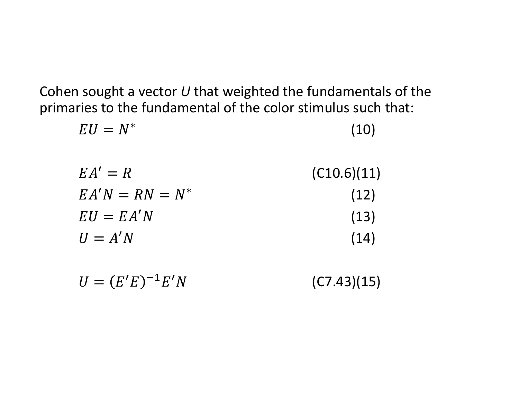Cohen sought a vector  $U$  that weighted the fundamentals of the primaries to the fundamental of the color stimulus such that:

| $EU = N^*$        | (10)        |
|-------------------|-------------|
| $EA' = R$         | (C10.6)(11) |
| $EA'N = RN = N^*$ | (12)        |
| $EU = EA'N$       | (13)        |
| $U = A'N$         | (14)        |
|                   |             |

| $U = (E'E)^{-1}E'N$ | (C7.43)(15) |
|---------------------|-------------|
|---------------------|-------------|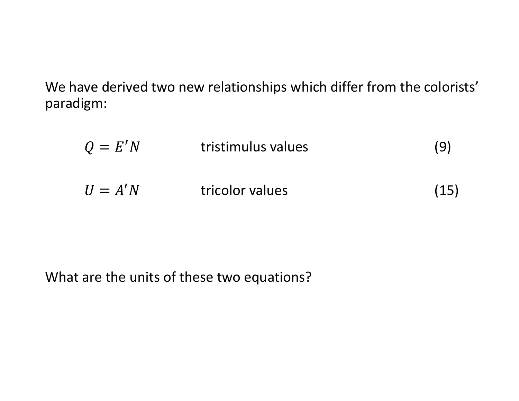We have derived two new relationships which differ from the colorists' paradigm:

| gm:       | ve derived two new relationships which differ from the colorists' |      |
|-----------|-------------------------------------------------------------------|------|
| $Q = E'N$ | tristimulus values                                                | (9)  |
| $U = A'N$ | tricolor values                                                   | (15) |
|           |                                                                   |      |

What are the units of these two equations?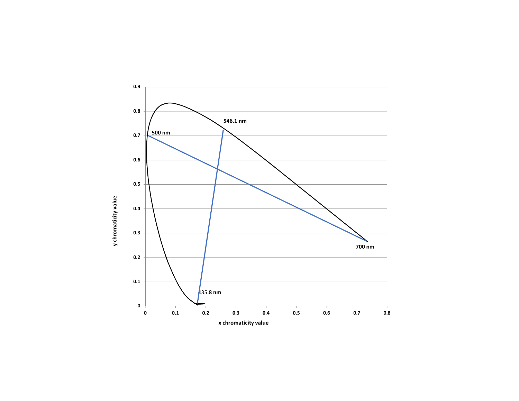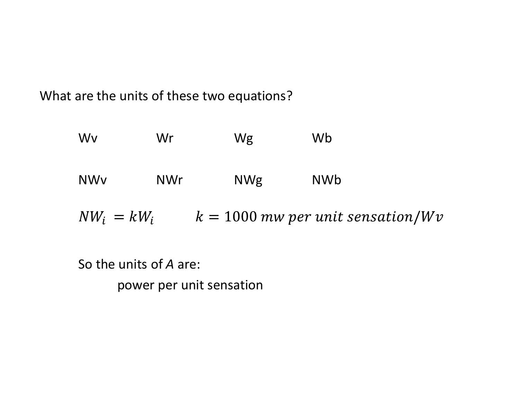What are the units of these two equations?

| are the units of these two equations?             |            |            |            |  |
|---------------------------------------------------|------------|------------|------------|--|
| Wv                                                | Wr         | Wg         | Wb         |  |
| <b>NWv</b>                                        | <b>NWr</b> | <b>NWg</b> | <b>NWb</b> |  |
| $NW_i = kW_i$ $k = 1000$ mw per unit sensation/Wv |            |            |            |  |

So the units of A are:

power per unit sensation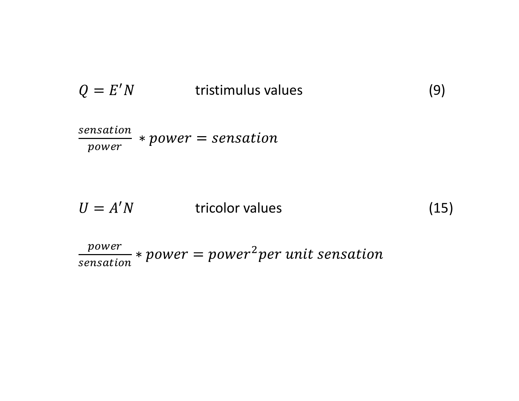$$
Q = E'N \t\t tristimulus values \t\t(9)
$$
\n*sensation* \* *power* = *sensation*

sensation contracts and the power rower go.

$$
Q = E'N \t\t tristimulus values \t\t(9)
$$
\n*fracation power = sensation*\n
$$
U = A'N \t\t\t tricolor values \t\t(15)
$$
\n*power = power = power<sup>2</sup> per unit sensation*

power processes to all sensation  $P^{\circ}$  work power p ଶ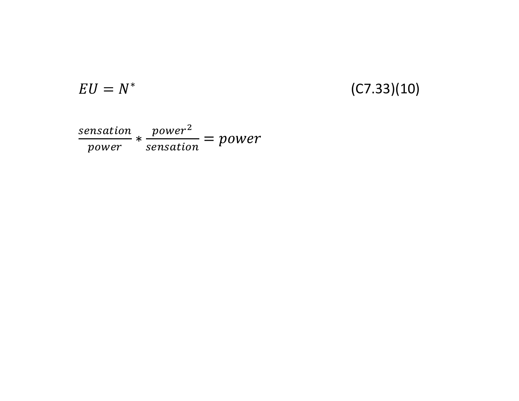$$
EU=N^*
$$

#### (C7.33)(10)

sensation power<sup>2</sup> power sensation  $\mathsf{P}^\times$  $power^2$  and  $y$ sensation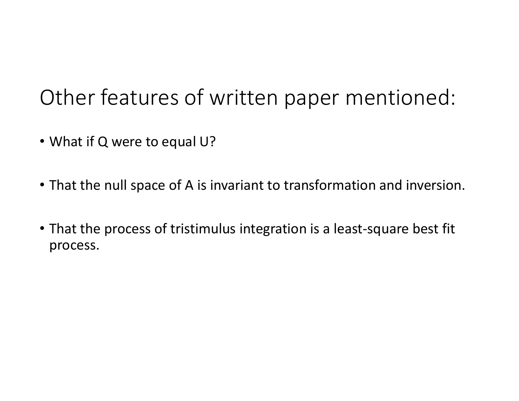## Other features of written paper mentioned:

- What if Q were to equal U?
- That the null space of A is invariant to transformation and inversion.
- Other features of written paper mentioned:<br>• What if Q were to equal U?<br>• That the null space of A is invariant to transformation and inversion.<br>• That the process of tristimulus integration is a least-square best fit<br>pr process.